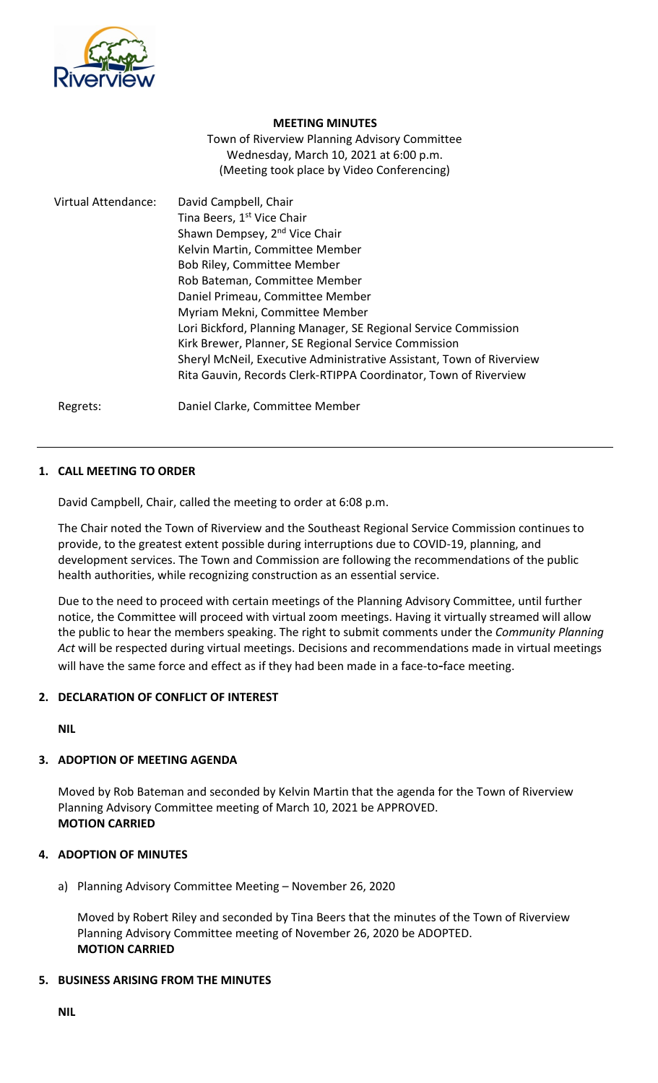

#### **MEETING MINUTES**

Town of Riverview Planning Advisory Committee Wednesday, March 10, 2021 at 6:00 p.m. (Meeting took place by Video Conferencing)

| Virtual Attendance: | David Campbell, Chair<br>Tina Beers, 1 <sup>st</sup> Vice Chair<br>Shawn Dempsey, 2 <sup>nd</sup> Vice Chair<br>Kelvin Martin, Committee Member<br>Bob Riley, Committee Member<br>Rob Bateman, Committee Member<br>Daniel Primeau, Committee Member<br>Myriam Mekni, Committee Member<br>Lori Bickford, Planning Manager, SE Regional Service Commission<br>Kirk Brewer, Planner, SE Regional Service Commission<br>Sheryl McNeil, Executive Administrative Assistant, Town of Riverview |
|---------------------|------------------------------------------------------------------------------------------------------------------------------------------------------------------------------------------------------------------------------------------------------------------------------------------------------------------------------------------------------------------------------------------------------------------------------------------------------------------------------------------|
|                     | Rita Gauvin, Records Clerk-RTIPPA Coordinator, Town of Riverview                                                                                                                                                                                                                                                                                                                                                                                                                         |

Regrets: Daniel Clarke, Committee Member

### **1. CALL MEETING TO ORDER**

David Campbell, Chair, called the meeting to order at 6:08 p.m.

The Chair noted the Town of Riverview and the Southeast Regional Service Commission continues to provide, to the greatest extent possible during interruptions due to COVID-19, planning, and development services. The Town and Commission are following the recommendations of the public health authorities, while recognizing construction as an essential service.

Due to the need to proceed with certain meetings of the Planning Advisory Committee, until further notice, the Committee will proceed with virtual zoom meetings. Having it virtually streamed will allow the public to hear the members speaking. The right to submit comments under the *Community Planning Act* will be respected during virtual meetings. Decisions and recommendations made in virtual meetings will have the same force and effect as if they had been made in a face-to**-**face meeting.

### **2. DECLARATION OF CONFLICT OF INTEREST**

**NIL**

### **3. ADOPTION OF MEETING AGENDA**

Moved by Rob Bateman and seconded by Kelvin Martin that the agenda for the Town of Riverview Planning Advisory Committee meeting of March 10, 2021 be APPROVED. **MOTION CARRIED**

#### **4. ADOPTION OF MINUTES**

a) Planning Advisory Committee Meeting – November 26, 2020

Moved by Robert Riley and seconded by Tina Beers that the minutes of the Town of Riverview Planning Advisory Committee meeting of November 26, 2020 be ADOPTED. **MOTION CARRIED**

#### **5. BUSINESS ARISING FROM THE MINUTES**